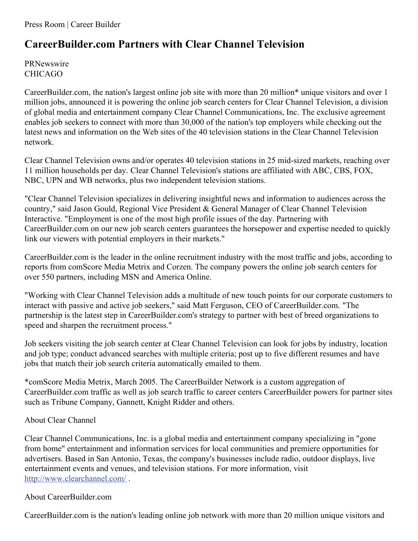## **CareerBuilder.com Partners with Clear Channel Television**

PRNewswire CHICAGO

CareerBuilder.com, the nation's largest online job site with more than 20 million\* unique visitors and over 1 million jobs, announced it is powering the online job search centers for Clear Channel Television, a division of global media and entertainment company Clear Channel Communications, Inc. The exclusive agreement enables job seekers to connect with more than 30,000 of the nation's top employers while checking out the latest news and information on the Web sites of the 40 television stations in the Clear Channel Television network.

Clear Channel Television owns and/or operates 40 television stations in 25 mid-sized markets, reaching over 11 million households per day. Clear Channel Television's stations are affiliated with ABC, CBS, FOX, NBC, UPN and WB networks, plus two independent television stations.

"Clear Channel Television specializes in delivering insightful news and information to audiences across the country," said Jason Gould, Regional Vice President & General Manager of Clear Channel Television Interactive. "Employment is one of the most high profile issues of the day. Partnering with CareerBuilder.com on our new job search centers guarantees the horsepower and expertise needed to quickly link our viewers with potential employers in their markets."

CareerBuilder.com is the leader in the online recruitment industry with the most traffic and jobs, according to reports from comScore Media Metrix and Corzen. The company powers the online job search centers for over 550 partners, including MSN and America Online.

"Working with Clear Channel Television adds a multitude of new touch points for our corporate customers to interact with passive and active job seekers," said Matt Ferguson, CEO of CareerBuilder.com. "The partnership is the latest step in CareerBuilder.com's strategy to partner with best of breed organizations to speed and sharpen the recruitment process."

Job seekers visiting the job search center at Clear Channel Television can look for jobs by industry, location and job type; conduct advanced searches with multiple criteria; post up to five different resumes and have jobs that match their job search criteria automatically emailed to them.

\*comScore Media Metrix, March 2005. The CareerBuilder Network is a custom aggregation of CareerBuilder.com traffic as well as job search traffic to career centers CareerBuilder powers for partner sites such as Tribune Company, Gannett, Knight Ridder and others.

## About Clear Channel

Clear Channel Communications, Inc. is a global media and entertainment company specializing in "gone from home" entertainment and information services for local communities and premiere opportunities for advertisers. Based in San Antonio, Texas, the company's businesses include radio, outdoor displays, live entertainment events and venues, and television stations. For more information, visit <http://www.clearchannel.com/> .

## About CareerBuilder.com

CareerBuilder.com is the nation's leading online job network with more than 20 million unique visitors and